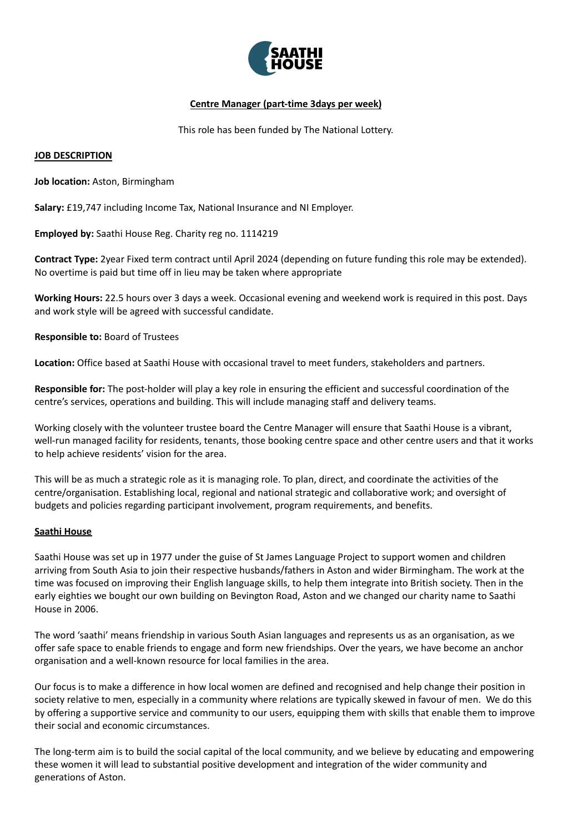

# **Centre Manager (part-time 3days per week)**

This role has been funded by The National Lottery.

## **JOB DESCRIPTION**

**Job location:** Aston, Birmingham

**Salary:** £19,747 including Income Tax, National Insurance and NI Employer.

**Employed by:** Saathi House Reg. Charity reg no. 1114219

**Contract Type:** 2year Fixed term contract until April 2024 (depending on future funding this role may be extended). No overtime is paid but time off in lieu may be taken where appropriate

**Working Hours:** 22.5 hours over 3 days a week. Occasional evening and weekend work is required in this post. Days and work style will be agreed with successful candidate.

## **Responsible to:** Board of Trustees

**Location:** Office based at Saathi House with occasional travel to meet funders, stakeholders and partners.

**Responsible for:** The post-holder will play a key role in ensuring the efficient and successful coordination of the centre's services, operations and building. This will include managing staff and delivery teams.

Working closely with the volunteer trustee board the Centre Manager will ensure that Saathi House is a vibrant, well-run managed facility for residents, tenants, those booking centre space and other centre users and that it works to help achieve residents' vision for the area.

This will be as much a strategic role as it is managing role. To plan, direct, and coordinate the activities of the centre/organisation. Establishing local, regional and national strategic and collaborative work; and oversight of budgets and policies regarding participant involvement, program requirements, and benefits.

### **Saathi House**

Saathi House was set up in 1977 under the guise of St James Language Project to support women and children arriving from South Asia to join their respective husbands/fathers in Aston and wider Birmingham. The work at the time was focused on improving their English language skills, to help them integrate into British society. Then in the early eighties we bought our own building on Bevington Road, Aston and we changed our charity name to Saathi House in 2006.

The word 'saathi' means friendship in various South Asian languages and represents us as an organisation, as we offer safe space to enable friends to engage and form new friendships. Over the years, we have become an anchor organisation and a well-known resource for local families in the area.

Our focus is to make a difference in how local women are defined and recognised and help change their position in society relative to men, especially in a community where relations are typically skewed in favour of men. We do this by offering a supportive service and community to our users, equipping them with skills that enable them to improve their social and economic circumstances.

The long-term aim is to build the social capital of the local community, and we believe by educating and empowering these women it will lead to substantial positive development and integration of the wider community and generations of Aston.